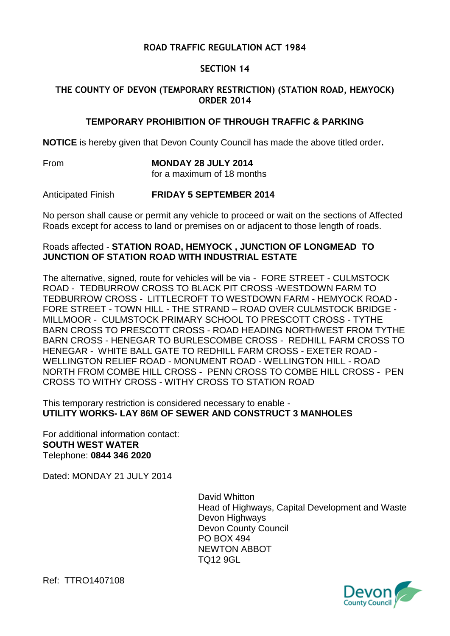# **ROAD TRAFFIC REGULATION ACT 1984**

## **SECTION 14**

## **THE COUNTY OF DEVON (TEMPORARY RESTRICTION) (STATION ROAD, HEMYOCK) ORDER 2014**

### **TEMPORARY PROHIBITION OF THROUGH TRAFFIC & PARKING**

**NOTICE** is hereby given that Devon County Council has made the above titled order**.**

From **MONDAY 28 JULY 2014** for a maximum of 18 months

Anticipated Finish **FRIDAY 5 SEPTEMBER 2014**

No person shall cause or permit any vehicle to proceed or wait on the sections of Affected Roads except for access to land or premises on or adjacent to those length of roads.

#### Roads affected - **STATION ROAD, HEMYOCK , JUNCTION OF LONGMEAD TO JUNCTION OF STATION ROAD WITH INDUSTRIAL ESTATE**

The alternative, signed, route for vehicles will be via - FORE STREET - CULMSTOCK ROAD - TEDBURROW CROSS TO BLACK PIT CROSS -WESTDOWN FARM TO TEDBURROW CROSS - LITTLECROFT TO WESTDOWN FARM - HEMYOCK ROAD - FORE STREET - TOWN HILL - THE STRAND – ROAD OVER CULMSTOCK BRIDGE - MILLMOOR - CULMSTOCK PRIMARY SCHOOL TO PRESCOTT CROSS - TYTHE BARN CROSS TO PRESCOTT CROSS - ROAD HEADING NORTHWEST FROM TYTHE BARN CROSS - HENEGAR TO BURLESCOMBE CROSS - REDHILL FARM CROSS TO HENEGAR - WHITE BALL GATE TO REDHILL FARM CROSS - EXETER ROAD - WELLINGTON RELIEF ROAD - MONUMENT ROAD - WELLINGTON HILL - ROAD NORTH FROM COMBE HILL CROSS - PENN CROSS TO COMBE HILL CROSS - PEN CROSS TO WITHY CROSS - WITHY CROSS TO STATION ROAD

This temporary restriction is considered necessary to enable - **UTILITY WORKS- LAY 86M OF SEWER AND CONSTRUCT 3 MANHOLES**

For additional information contact: **SOUTH WEST WATER** Telephone: **0844 346 2020**

Dated: MONDAY 21 JULY 2014

David Whitton Head of Highways, Capital Development and Waste Devon Highways Devon County Council PO BOX 494 NEWTON ABBOT TQ12 9GL



Ref: TTRO1407108